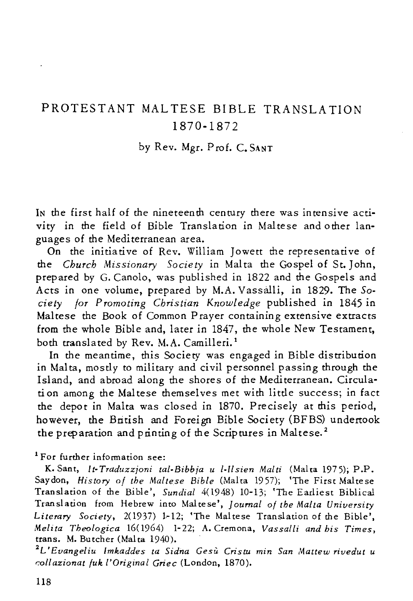# PROTESTANT MAL TESE BIBLE TRANSLATION 1870-1872

## by Rev. Mgr. Prof. C. SANT

In the first half of the nineteenth century there was intensive activity in the field of Bible Translation in Maltese and other languages of the Mediterranean area.

On the initiative of Rev. William Jowett the representative of the *Church Missionary Society* in Malta the Gospel of St. John, prepared by G. Canolo, was published in 1822 and the Gospels and Acts in one volume, prepared by M.A. Vassalli, in 1829. The *Society for Promoting Christian Knowledge* published in 1845 in Maltese the Book of Common Prayer containing extensive extracts from the whole Bible and, later in 1847, the whole New Testament, both translated by Rev. M.A. Camilleri.<sup>1</sup>

In the meantime, this Society was engaged in Bible distribution in Malta, mostly to military and civil personnel passing through the Island, and abroad along the shores of the Mediterranean. Circulati on among the Maltese themselves met with little success; in fact the depot in Malta was closed in 1870. Precisely at this period, however, the British and Foreign Bible Society (BFBS) undertook the preparation and printing of the Scriptures in Maltese.<sup>2</sup>

1 For further information see:

K. Sant, *It-Traduzzjoni tal-Bibbja u l-Ilsien Malti* (Malta 1975); P.P. Say don, *History* 0/ *the Maltese Bible* (Malta 1957); 'The First Maltese Translation of the Bible', *Sundial* 4(1948) 10-13; 'The Earliest Biblical Translation from Hebrew into Maltese', *Journal of the Malta University* Literary Society, 2(1937) 1-12; 'The Maltese Translation of the Bible', *Melita Theologica* 16(1964) 1-22; A. Cremona, *Vassalli and his Times,*  trans. M. Butcher (Malta 1940).

<sup>2</sup>L'Evangeliu Imkaddes ta Sidna Gesù Cristu min San Mattew rivedut u *collazionat fuk l'Original Griec* (London, 1870).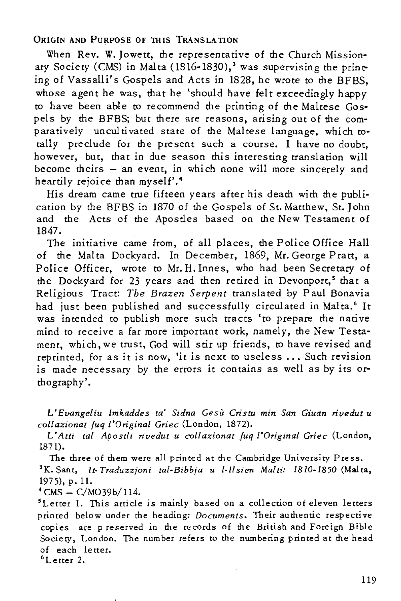ORIGIN AND PURPOSE OF THIS TRANSLATION

When Rev. W. Jowett, the representative of the Church Missionary Society (CMS) in Malta (1816-1830),<sup>3</sup> was supervising the printing of Vassalli's Gospels and Acts in 1828, he wrote to the BFBS, whose agent he was, that he 'should have felt exceedingly happy to have been able to recommend the printing of the Maltese Gospels by the BFBS; but there are reasons, arising out of the comparatively uncultivated state of the Maltese language, which totally preclude for the present such a course. I have no doubt, however, but, that in due season this interesting translation will become theirs - an event, in which none will more sincerely and heartily rejoice than myself'.<sup>4</sup>

His dream came true fifteen years after his death with the publication by the BFBS in 1870 of the Gospels of St. Matthew, St. John and the Acts of the Aposdes based on the New Testament of 1847.

The initiative came from, of all places, the Police Office Hall of the Malta Dockyard. In December, 1869, Mr. George Pratt, a Police Officer, wrote to Mr. H. Innes, who had been Secretary of the Dockyard for 23 years and then retired in Devonport,<sup>5</sup> that a Religious Tract: *The Brazen Serpent* translated by Paul Bonavia had just been published and successfully circulated in Malta.<sup>6</sup> It was intended to publish more such tracts 'to prepare the native mind to receive a far more important work, namely, the New Testament, which, we trust, God will stir up friends, to have revised and reprinted, for as it is now, 'it is next to useless •.. Such revision is made necessary by the errors it contains as well as by its orthography'.

L' *Evangeliu Imkaddes ta' Sidna Gesu Cristu min San Giuan rivedut u collazionat /uq l'Original Griec* (London, 1872).

L'Atti tal Apostli rivedut u collazionat fug l'Original Griec (London, 1871).

The three of them were all printed at the Cambridge University Press. <sup>3</sup>K. Sant, *It-Traduzzjoni tal-Bibbja u l-Ilsien Malti: 1810-1850* (Malta, 1975), p.ll.

 $4$  CMS  $-$  C/MO39b/114.

SLetter 1. This article is mainly based on a collection of eleven letters printed below under the heading: *Documents.* Their authentic respective copies are p reserved in the records of the British and Foreign Bible Society, London. The number refers to the numbering printed at the head of each le tter.

6Letter 2.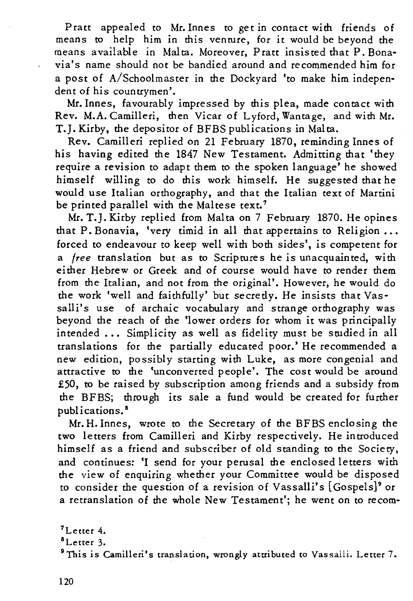Pratt appealed to Mr.Innes to get in contact with friends of means to help him in this venture, for it would be beyond the means available in Malta. Moreover, Pratt insisted that P. Bonavia's name should not be bandied around and recommended him for a post of A/Schoolmaster in the Dockyard 'to make him independent of his countrymen'.

Mr. Innes, favourably impressed by this plea, made contact with Rev. M.A. Camilleri, then Vicar of Lyford, Wantage, and with Mr. T.]. Kirby, the depositor of BFBS publications in Malta.

Rev. Camilleri replied on 21 February 1870, reminding Innes of his having edited the 1847 New Testament. Admitting that 'they require a revision to adapt them to the spoken language' he showed himself willing to do this work himself. He suggested that he would use Italian orthography, and that the Italian text of Martini be printed parallel with the Maltese text.<sup>7</sup>

Mr. T.]. Kirby replied from Malta on 7 February 1870. He opines that P. Bonavia, 'very timid in all that appertains to Religion ... forced to endeavour to keep well with both sides', is competent for a *free* translation but as to Scriptures he is unacquainted, with either Hebrew or Greek and of course would have to render them from the Italian, and not from the original'. However, he would do the work 'well and faithfully' but secretly. He insists that Vassalli's use of archaic vocabulary and strange orthography was beyond the reach of the 'lower orders for whom it was principally intended ... Simplicity as well as fidelity must be studied in all translations for the partially educated poor.' He recommended a new edition, possibly starting with Luke, as more congenial and attractive to the 'unconverted people'. The cost would be around £50, to be raised by subscription among friends and a subsidy from the BFBS; through its sale a fund would be created for further publications.<sup>8</sup>

Mr. H. Innes, wrote to the Secretary of the BFBS enclosing the two letters from Camilleri and Kirby respectively. He introduced himself as a friend and subscriber of old standing to the Society, and continues: 'I send for your perusal the enclosed letters with the view of enquiring whether your Committee would be disposed to consider the question of a revision of Vassalli's [Gospels]9 or a retranslation of the whole New Testament'; he went on to recom-

'Letter 4.

8 Letter 3.

<sup>9</sup>This is Camilleri's translation, wrongly attributed to Vassalli. Letter 7.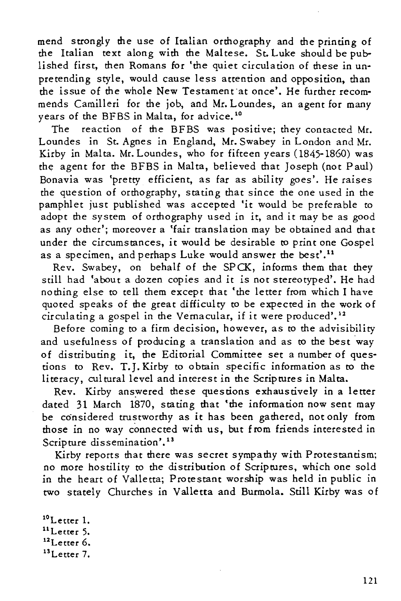mend strongly the use of Italian orthography and the printing of the Italian text along with the Maltese. St. Luke should be published first, then Romans for 'the quiet circulation of these in unpretending style, would cause less attention and opposition, than the issue of the whole New Testament at once'. He further recommends Camilleri for the job, and Mr. Loundes, an agent for many years of the BFBS in Malta, for advice.<sup>10</sup>

The reaction of the BFBS was positive; they contacted Mr. Loundes in St. Agnes in England, Mr. Swabey in London and Mr. Kirby in Malta. Mr. Loundes, who for fifteen years (1845-1860) was the agent for the BFBS in Malta, believed that ]oseph (not Paul) Bonavia was 'pretty efficient, as far as ability goes'. He raises the question of orthography, stating that since the one used in the pamphlet just published was accepted 'it would be preferable to adopt the system of orthography used in it, and it may be as good as any other'; moreover a 'fair translation may be obtained and that under the circumstances, it would be desirable to print one Gospel as a specimen, and perhaps Luke would answer the best'.<sup>11</sup>

Rev. Swabey, on behalf of the SPCK, informs them that they still had 'about a dozen copies and it is not stereotyped'. He had nothing else to tell them except that 'the letter from which I have quoted speaks of the great difficulty to be expected in the work of circulating a gospel in the Vernacular, if it were produced'. 12

Before coming to a firm decision, however, as to the advisibility and usefulness of producing a translation and as to the best way of distributing it, the Editorial Committee set a number of questions to Rev. T.]. Kirby to obtain specific information as to the literacy, cultural level and interest in the Scriptures in Malta.

Rev. Kirby answered these questions exhaustively in a letter dated 31 March 1870, stating that 'the information now sent may be considered trustworthy as it has been gathered, not only from those in no way connected with us, but from friends interested in Scripture dissemination'.<sup>13</sup>

Kirby reports that there was secret sympathy with Protestantism; no more hostility to the distribution of Scriptures, which one sold in the heart of Valletta; Protestant worship was held in public in two stately Churches in Valletta and Burmola. Still Kirby was of

<sup>10</sup>Letter 1. llLetter 5.  $12$ Letter 6.  $13$ Letter 7.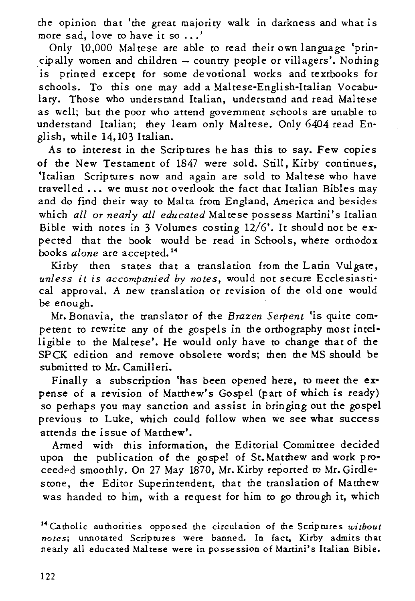the opinion that 'the great majority walk in darkness and what is more sad, love to have it so ...'

Only 10,000 Maltese are able to read their own language 'prin  $cipally$  women and children  $-$  country people or villagers'. Nothing is printed except for some devotional works and textbooks for schools. To this one may add a Maltese-English-Italian Vocabulaty. Those who understand Italian, understand and read Maltese as well; but the poor who attend government schools are unable to understand Italian; they learn only Maltese. Only 6404 read English, while 14,103 Italian.

As to interest in the Scriptures he has this to say. Few *copies*  of the New Testament of 1847 were sold. Still, Kirby continues, 'Italian Scriptures now and again are sold to Maltese who have travelled ... we must not overlook the fact that Italian Bibles may and do find their way to Malta from England, America and besides which *all* or *nearly all educated* Maltese possess Martini's Italian Bible with notes *in* 3 Volumes *costing* 12/6'. It should not be expected that the book would be read *in* Schools, where orthodox books *alone* are accepted. 14

Kirby then states that a translation from the Latin Vulgate, *unless it is accompanied by notes,* would not secure Ecclesiastical approval. A new translation or revision of the old one would be enough.

Mr. Bonavia, the translator of the *Brazen Serpent* 'is *quite* competent to rewrite any of the gospels *in* the orthography most intelligible to the Maltese'. He would only have to change that of the SPCK edition and remove obsolete words; then the MS should be submitted to Mr. Camilleri.

Finally a subscription 'has been opened here, to meet the expense of a revision of Matthew's Gospel (part of which is ready) so perhaps you may sanction and *assist* in bringing out the gospel previous to Luke, which could follow when we see what success attends the *issue* of Matthew'.

Armed with this information, the Editorial Committee decided upon the publication of the gospel of St. Matthew and work proceeded smoothly. On 27 May 1870, Mr. Kirby reported to Mr. Girdlestone, the Editor Superintendent, that the translation of Matthew was handed to him, with a request for *him* to go through *it,* which

14 Catholic authorities opposed the circulation of the Scriptures *without notes;* unnotated Scriptures were' banned. In fact, Kirby admits that nearly all educated Maltese were in possession of Martini's Italian Bible.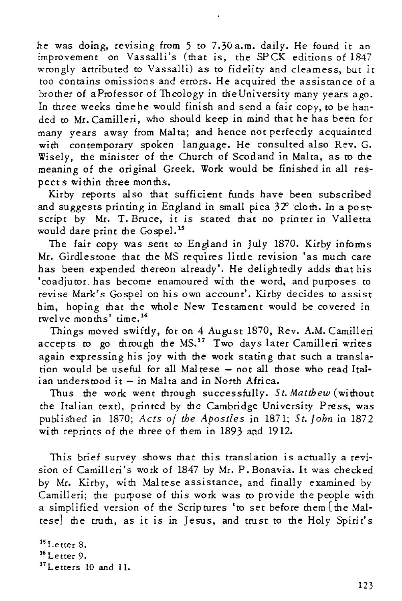he was doing, revising from 5 to 7.30 a.m. daily. He found it an improvement on Vassalli's (that is, the SPCK editions of  $1847$ wrongly attributed to Vassalli) as to fidelity and clearness, but it too contains omissions and errors. He acquired the assistance of a brother of aProfessor of Theology in the University many years ago. In three weeks time he would finish and send a fair copy, to be handed to Mr. Camilleri, who should keep in mind that he has been for many years away from Malta; and hence not perfecdy acquainted with contemporary spoken language. He consulted also Rev. G. Wisely, the minister of the Church of Scotland in Malta, as to the meaning of the original Greek. Work would be finished in all respect s within three months.

Kirby reports also that sufficient funds have been subscribed and suggests printing in England in small pica  $32^{\circ}$  cloth. In a postscript by Mr. T. Bruce, it is stated that no printer in Valletta would dare print the Gospel.<sup>15</sup>

The fair copy was sent to England in July 1870. Kirby informs Mr. Girdlestone that the MS requires litde revision 'as much care has been expended thereon already'. He deligh tedly adds that his 'coadjutor. has become enamoured with the word, and purposes to revise Mark's Gospel on his own account'. Kirby decides to assist him, hoping that the whole New Testament would be covered in twelve months' time.<sup>16</sup>

Things moved swifdy, for on 4 August 1870, Rev. A.M. Camilleri  $\frac{1}{2}$  accepts to go through the MS.<sup>17</sup> Two days later Camilleri writes again expressing his joy with the work stating that such a translation would be useful for all Mal tese - not all those who read Ital $i$ an understood  $i$ t  $-$  in Malta and in North Africa.

Thus the work went through successfully. *St. Matthew* (without the Italian text), printed by the Cambridge University Press, was published in 1870; *Acts of the Apostles* in 1871; *St. John* in 1872 with reprints of the three of them in 1893 and 1912.

This brief survey shows that this translation is actually a revision of Camilleri's work of 1847 by Mr. P. Bonavia. It was checked by Mr. Kirby, with Mal tese assistance, and finally examined by Camilleri; the purpose of this work was to provide the people with a simplified version of the Scrip tures 'to set before them [the Maltese] the truth, as it is in Jesus, and trust to the Holy Spirit's

<sup>15</sup>Letter 8.  $^{16}$  Letter 9.  $17$  Letters 10 and 11.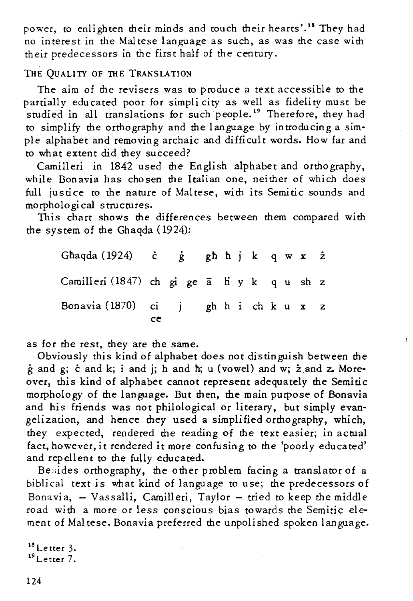power, to enlighten their minds and touch their hearts'.<sup>18</sup> They had no interest in the Maltese language as such, as was the case with their predecessors in the first half of the century.

#### THE QUALITY OF THE TRANSLATION

The aim of the revisers was to produce a text accessible to the partially educated poor for simpli city as well as fidelity must be studied in all translations for such people.<sup>19</sup> Therefore, they had to simplify the orthography and the language by introducing a simple alphabet and removing archaic and difficult words. How far and to what extent did they succeed?

Camilleri in 1842 used the English alphabet and orthography, while Bonavia has chosen the Italian one, neither of which does full justice to the nature of Maltese, with its Semitic sounds and morphological structures.

This chart shows the differences between them compared with the system of the Ghaqda (1924):

| Ghaqda (1924) c g ghhj k q w x z           |    |  |  |  |  |  |
|--------------------------------------------|----|--|--|--|--|--|
| Camilleri (1847) ch gi ge ā h y k q u sh z |    |  |  |  |  |  |
| Bonavia (1870) ci j gh h i ch k u x z      | ce |  |  |  |  |  |

as for the rest, they are the same.

Obviously this kind of alphabet does not distinguish between the  $g$  and  $g$ ;  $c$  and  $k$ ; i and j; h and h; u (vowel) and w;  $\dot{z}$  and z. Moreover, this kind of alphabet cannot represent adequately the Semitic morphology of the language. But then, the main purpose of Bonavia and his friends was not philological or literary, but simply evangelization, and hence they used a simpli fied ortho graphy, which, they expected, rendered the reading of the text easier; in actual fact, however, it rendered it more confusing to the 'poorly educated' and repellent to the fully educated.

Besides orthography, the other problem facing a translator of a biblical text is what kind of language to use; the predecessors of Bonavia, - Vassalli, Camilleri, Taylor - tried to keep the middle road with a more or less conscious bias towards the Semitic element of Maltese. Bonavia preferred the unpolished spoken language.

 $18$  Letter 3. 19Letter 7.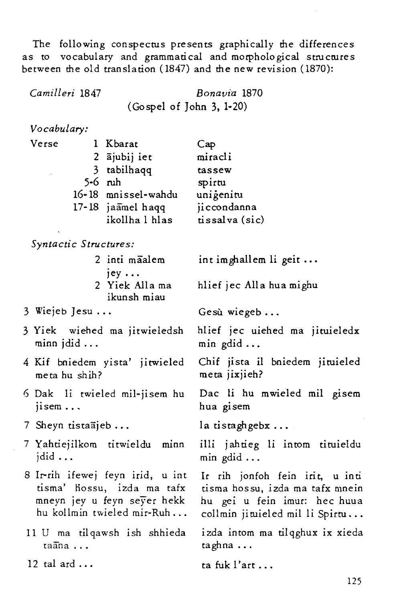The following conspectus presents graphically the differences as to vocabulary and grammatical and morphological structures between the old translation (1847) and the new revision (1870):

*Camilleri 1847 Bonavia 1870*  (Gospel of John 3, 1-20)

*Vocabulary:* 

| Verse | 1 Kbarat            | Cap            |
|-------|---------------------|----------------|
|       | 2 ājubij iet        | miracli        |
|       | 3 tabilhaqq         | tassew         |
|       | $5-6$ ruh           | spirtu         |
|       | 16-18 mnissel-wahdu | unigenitu      |
|       | 17-18 jaamel haqq   | jiccondanna    |
|       | ikollha l hlas      | tissalva (sic) |

*Syntactic Structures:* 

| 2 inti mäalem<br>jey             | int imghallem li geit           |
|----------------------------------|---------------------------------|
| 2 Yiek Alla ma<br>ikunsh miau    | hlief jec Alla hua mighu        |
| 3 Wiejeb Jesu                    | Gesù wiegeb                     |
| 3 Yiek wiehed ma jitwieledsh     | hlief jec uiehed ma jituieledx  |
| $min$ jdid $\ldots$              | $min$ gdid $\ldots$             |
| 4 Kif bniedem yista' jitwieled   | Chif jista il bniedem jituieled |
| meta hu shih?                    | meta jixjieh?                   |
| 6 Dak li twieled mil-jisem hu    | Dac li hu mwieled mil gisem     |
| jisem                            | hua gisem                       |
| 7 Sheyn tistaajeb                | la tistaghgeb $x \ldots$        |
| 7 Yahtiejilkom titwieldu minn    | illi jahtieg li intom tituieldu |
| $j$ did $\ldots$                 | min gdid $\ldots$               |
| 8 Ir-rih ifewej feyn irid, u int | Ir rih jonfoh fein irit, u inti |
| tisma' hossu, izda ma tafx       | tisma hossu, izda ma tafx mnein |
| mneyn jey u feyn seyer hekk      | hu gei u fein imur: hec huua    |
| hu kollmin twieled mir-Ruh       | collmin jituieled mil li Spirtu |
| 11 U ma tilqawsh ish shhieda     | izda intom ma tilqghux ix xieda |
| $\bar{\tan}$ $\ldots$            | $t$ aghna $\ldots$              |
| 12 tal ard                       | ta fuk l'art                    |

125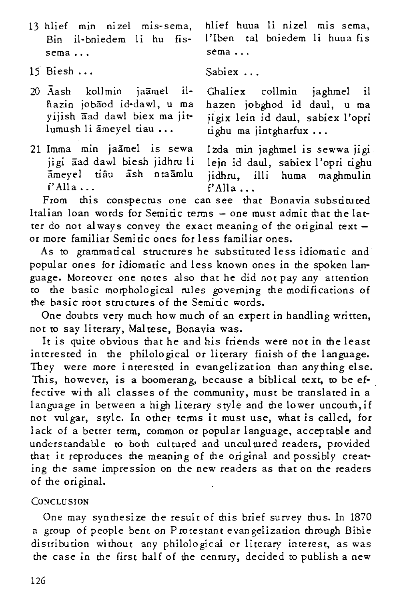- 13 hlief min nizel mis-sema, Bin il-bniedem li hu fissema ...
- 15 Biesh ...
- 20 Aash kollmin jaamel ilnazin jobaod id-dawl, u ma yijish aad dawl biex ma jitlumush li ameyel tiau ...
- 21 Imma min jaamel is sewa jigi aad dawl biesh jidhru li ameyel tiau ash ntaamlu  $f'$ Alla ...

hlief huua li nizel mis sema, l'Iben tal bniedem li huua fis sema ...

Sabiex ...

Ghaliex collmin jaghmel il hazen jobghod id daul, u ma jigix lein id daul, sabiex l'opri tighu ma jintgharfux ...

Izda min jaghmel is sewwa jigi lejn id daul, sabiex l'opri tighu<br>jidhru, illi huma maghmulin jidhru, illi  $f'$ Alla  $\ldots$ 

From this conspectus one can see that Bonavia substituted Italian loan words for Semitic terms - one must admit that the latter do not always convey the exact meaning of the original text  $$ or more familiar Semitic ones for less familiar ones.

As to grammatical structures he substituted less idiomatic and popular ones for idiomatic and less known ones in the spoken language. Moreover one notes also that he did not pay any attention to the basic morphological rules governing the modifications of the basic root strucrures of the Semitic words.

One doubts very much how much of an expert in handling written, not to say literary, Maltese, Bonavia was.

It is *quite* obvious that he and his friends were not in the least interested in the philological or literary finish of the language. They were more interested in evangelization than anything else. This, however, is a boomerang, because a biblical text, to be effective with all classes of the community, must be translated in a language in between a high literary style and the lower uncouth, if not vulgar, style. In other terms it must use, what is called, for lack of a better term, common or popular language, acceptable and understandable to both cultured and uncultured readers, provided that it reproduces the meaning of the original and possibly creating the same impression on the new readers as that on the readers of the original.

# **CONCLUSION**

One may synthesize the result of this brief survey thus. In 1870 a group of people bent on Protestant evangelization through Bible distribution without any philological or literary interest, as was the case in the first half of the century, decided to publish a new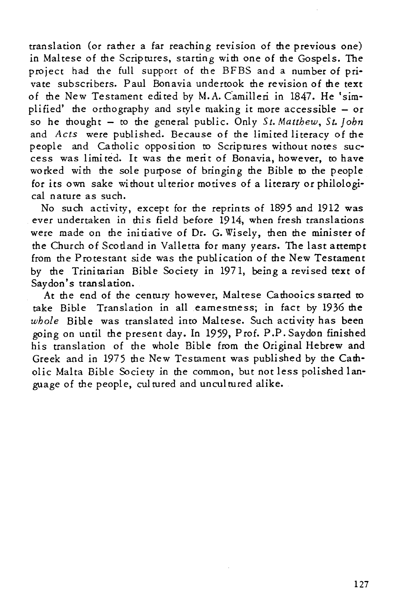translation (or rather a far reaching revision of the previous one) in Maltese of the Scriptures, starting with one of the Gospels. The project had the full support of the BFBS and a number of private subscribers. Paul Bonavia undertook the revision of the text of the New Testament edited by M.A. Camillen in 1847. He *'sim*plified' the orthography and style making it more accessible  $-$  or so he thought - to the general public. Only *St. Matthew, Si. John*  and *Acts* were published. Because of the limited literacy of the people and Catholic opposition to Scriptures without notes success was limited. It was the merit of Bonavia, however, to have worked with the sole purpose of bringing the Bible to the people for *its* own sake without ulterior motives of a literary or philological nature as such.

No such activity, except for the reprints of 1895 and 1912 was ever undertaken in this field before 1914, when fresh translations were made on the *initiative* of Dr. G. Wisely, then the minister of the Church of Scotland in Valletta for many years. The last attempt from the Protestant side was the publication of the New Testament by the Trinitarian Bible *Society* in 1971, being a revised text of Saydon's translation.

At the end of the century however, Maltese Cathooics started to take Bible Translation in alleamestness; in fact by 1936 the *whole* Bible was translated into Maltese. Such activity has been going on until the present day. **In** 1959, Prof. P.P.Saydon finished his translation of the whole Bible from the Original Hebrew and Greek and in 1975 the New Testament was published by the Catholic Malta Bible Society in the common, but not less polished language of the people, cultured and uncultured alike.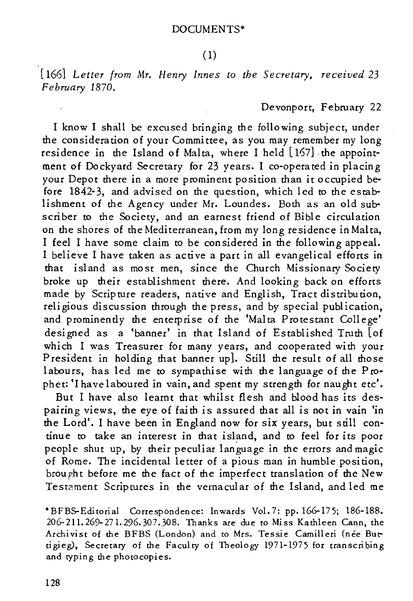[1661 *Letter from Mr. Henry Innes to the Secretary, received* 23 *February 1870.* 

#### Devonport, February 22

I know I shall be excused bringing the following subject, under the consideration of your Committee, as you may remember my long residence in the Island of Malta, where I held [167] the appointment of Dockyard Secretary for 23 years. I co-operated in placing your Depot there in a more prominent position than it occupied before 1842-3, and advised on the question, which led to the establishment of the Agency under Mr. Loundes. Both as an old subscriber to the Society, and an earnest friend of Bible circulation on the shores of the Mediterranean, from my long residence in Malta, I feel I have some claim to be considered in the following appeal. I believe I have taken as active a part in all evangelical efforts in that island as most men, since the Church Missionary Society broke up their establishment there. And looking back on efforts made by Scripture readers, native and English, Tract distribution, religious discussion through the press, and by special publication, and prominently the enterprise of the 'Malta Protestant College' designed as a 'banner' in that Island of Established Truth [of which I was Treasurer for many years, and cooperated with your President in holding that banner up]. Still the result of all those labours, has led me to sympathise with the language of the Prophet: 'I have laboured in vain, and spent my strength for naught etc'.

But I have also learnt that whilst flesh and blood has its despairing views, the eye of faith is assured that all is not in vain 'in the Lord'. I have been in England now for six years, but still continue to take an interest in that island, and to feel for its poor people shut up, by their peculiar language in the errors and magic of Rome. The incidental letter of a pious man in humble position, brought before me the fact of the imperfect translation of the New Testament Scriptures in the vernacular of the Island, and led me

·BFB5-Editorial Onrespondence: Inwards Vol. 7: pp. 166-175; 186-188. 206-211.269-271.296.307.308. Thanks are due to Miss Kathleen Cann, the Archivist of the BFBS (London) and to Mrs. Tessie Camilleri (née Buttigieg), Secretary of the Faculty of Theology 1971-1975 for transcribing and typing the photocopies.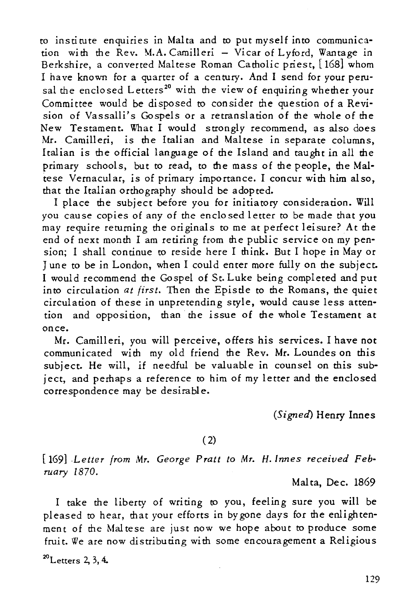to institute enquiries in Malta and to put myself into communication with the Rev. M.A. Camilleri - Vicar of Lyford, Wantage in Berkshire, a converted Maltese Roman Catholic priest, [168) whom I have known for a quarter of a cen tury. And I send for your perusal the enclosed Letters<sup>20</sup> with the view of enquiring whether your Committee would be disposed to consider the question of a Revision of Vassalli's Gospels or a retranslation of the whole of the New Testament. What I would strongly recommend, as also does Mr. Camilleri, is the Italian and Maltese in separate columns, Italian is the official language of the Island and taught in all the primary schools, but to read, to the mass of the people, the Maltese Vernacular, is of primary importance. I concur with him also, that the Italian orthography should be adopted.

I place the subject before you for initiatory consideration. Will you cause copies of any of the enclo sed letter to be made that you may require returning the originals to me at perfect leisure? At the end of next month I am retiring from the public service on my pension; I shall continue to reside here I think. But I hope in May or June to be in London, when I could enter more fully on the subject. I would recommend the Gospel of St. Luke being completed and put into circulation *at first.* Then the Epistle to the Romans, the quiet circulation of these in unpretending style, would cause less attention and opposition, than the issue of the whole Testament at once.

Mr. Camilleri, you will perceive, offers his services. I have not communicated with my old friend the Rev. Mr. Loundes on this subject. He will, if needful be valuable in counsel on this subject, and perhaps a reference to him of my letter and the enclosed correspondence may be desirable.

*(Signed)* Henry Innes

#### (2)

*[169) Letter from Mr. George Pratt to Mr. H.lnnes received February 1870.* 

Malta, Dec. 1869

I take the liberty of writing to you, feeling sure you will be pleased to hear, that your efforts in by gone days for the enlightenment of the Mal tese are just now we hope about to produce some fruit. We are now distributing with some encouragement a Religious

 $^{20}$ Letters 2, 3, 4.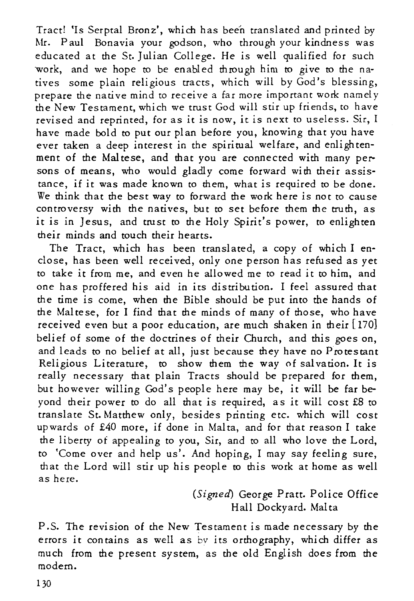Tract! 'Is Serptal Bronz', which has been translated and printed by Mr. Paul Bonavia your godson, who through your kindness was educated at the St. Julian College. He *is* well qualified for such work, and we hope to be enabled through him to give to the natives some plain religious tracts, which will by God's blessing, prepare the native mind to receive a far more important work namely the New Testament, which we trust God will stir up friends, to have revised and reprinted, for as it is now, it is next to useless. Sir, I have made bold to put our plan before you, knowing that you have ever taken a deep interest in the spiritual welfare, and enlightenment of the Maltese, and that you are connected with many persons of means, who would gladly come forward with their assistance, if it was made known to them, what is required to be done. We think that the best way to forward the work here is not to cause controversy with the natives, but to set before them the truth, as it *is* in Jesus, and trust to the Holy Spirit's power, to enlighten their minds and touch their hearts.

The Tract, which has been translated, a copy of which I enclose, has been well received, only one person has refused as yet to take it from me, and even he allowed me to read it to him, and one has proffered his aid in its distribution. I feel assured that the time *is* come, when the Bible should be put into the hands of the Maltese, for I find that the minds of many of those, who have received even but a poor education, are much shaken in their [170] belief of some of the doctrines of their Church, and *this* goes on, and leads to no belief at all, just because they have no Protestant Religious Literature, to show them the way of salvation. It is really necessary that plain Tracts should be prepared for them, but however willing God's people here may be, it will be far beyond their power to do all that is required, as it will cost £8 to translate St. Matthew only, besides printing etc. which will cost upwards of £40 more, if done in Malta, and for that reason I take the liberty of appealing to you, Sir, and to all who love the Lord, to 'Come over and help us'. And hoping, I may say feeling sure, that the Lord will stir up his people to this work at home as well as here.

# (Signed) George Pratt. Police Office Hall Dockyard. Malta

P .S. The revision of the New Testament is made necessary by the errors it contains as well as by its orthography, which differ as much from the present system, as the old English does from the modem.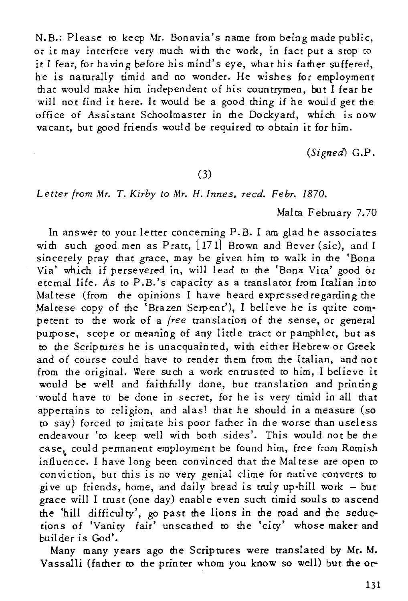N.B.: Please to keep Mr. Bonavia's name from being made public, or *it* may interfere very much *with* the work, in fact put a stop to *it* I fear, for having before *his* mind's eye, what his father suffered, he is naturally timid and no wonder. He wishes for employment that would make him independent of his countrymen, but I fear he will not find it here. It would be a good thing if he would get the office of Assistant Schoolmaster in the Dockyard, which *is* now vacant, but good friends would be required to obtain it for *him.* 

*(Signed)* G.P.

## (3)

## *Letter from Mr. T. Kirby to Mr. H.lnnes, recd. Febr. 1870.*

Malta February 7.70

In answer to your letter concerning P.B. I am glad he associates *wi* th such good men as P ratt, [171] Brown and Bever *(sic),* and I sincerely pray that grace, may be given him to walk in the 'Bona Via' which if persevered in, will lead to the 'Bona Vita' good or etemal life. As to P.B.'s capacity as a translator from Italian into Maltese (from the opinions I have heard expressed regarding the Maltese copy of the 'Brazen Serpent'), I believe he is quite competent to the work of a *free* translation of the sense, or general purpose, scope or meaning of any little tract or pamphlet, but as to the Scriptures he is unacquainted, with either Hebrew or Greek and of course could have to render them from the Italian, and not from the original. Were such a work entrusted to him, I believe it would be well and faithfully done, but translation and printing ·would have to be done in secret, for he is very timid in all that appertains to religion, and alas! that he should in a measure (so to say) forced to imitate his poor father in the worse than useless endeavour 'to keep well with both sides'. *This* would not be the case, could permanent employment be found him, free from Romish influence. I have long been convinced that the Mal tese are open to conviction, but this *is* no very genial clime for native converts to give up friends, home, and daily bread *is* truly up-hill work - but grace will I trust (one day) enable even such timid souls to ascend the 'hill difficul ty', go past the lions in the road and the seductions of 'Vanity fair' unscathed to the *'city'* whose maker and builder is God'.

Many many years ago the Scriptures were translated by Mr. M. Vassalli (father to the printer whom you know so well) but the or-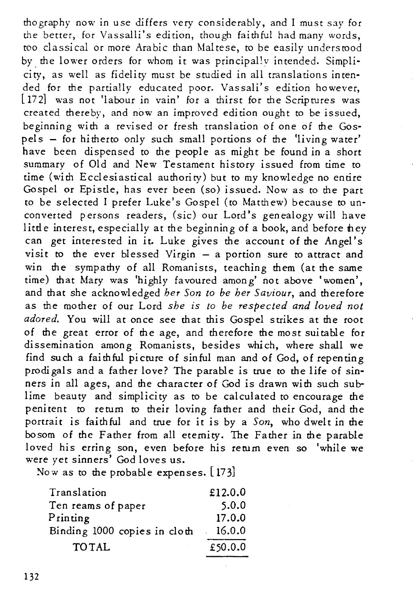thography now in use differs very considerably, and I must say for the better, for Vassalli's edition, though faithful had many words, too classical or more Arabic than Maltese, to be easily understood by the lower orders for whom it was principally intended. Simplicity, as well as fidelity must be studied in all translations intended for the partially educated poor. Vassali's edition however, [172] was not 'labour in vain' for a thirst for the Scriptures was created thereby, and now an improved edition ought to be issued, beginning with a revised or fresh translation of one of the Gospels - for hitherto only such small portions of the 'living water' have been dispensed to the people as might be found in a short summary of Old and New Testament history issued from time to time (with Ecclesiastical authority) but to my knowledge no entire Gospel or Epistle, has ever been (so) issued. Now as to the part to be selected I prefer Luke's Gospel (to Matthew) because to unconverted persons readers, (sic) our Lord's genealogy will have little interest, especially at the beginning of a book, and before hey can get interested in it. Luke gives the account of the Angel's visit to the ever blessed Virgin  $-$  a portion sure to attract and win the sympathy of all Romanists, teaching them (at the same time) that Mary was 'highly favoured among' not above 'women', and that she acknowledged *her Son to be her Saviour,* and therefore as the mother of our Lord *she* is *to be respected and loved not adored.* You will at once see that this Gospel strikes at the root of the great error of the age, and therefore the most suitable for dissemination among Romanists, besides which, where shall we find such a faithful picture of sinful man and of God, of repenting prodigals and a father love? The parable is true to the life of sinners in all ages, and the character of God is drawn with such sublime beauty and simplicity as to be calculated to encourage the penitent to return to their loving father and their God, and the portrait is faithful and true for it is by a *Son,* who dwelt in the bosom of the Father from all eternity. The Father in the parable loved his erring son, even before his return even so 'while we were yet sinners' God loves us.

Now as to the probable expenses.  $[173]$ 

| Translation                  | £12.0.0 |
|------------------------------|---------|
| Ten reams of paper           | 5.0.0   |
| Printing                     | 17.0.0  |
| Binding 1000 copies in cloth | .16.0.0 |
| <b>TOTAL</b>                 | £50.0.0 |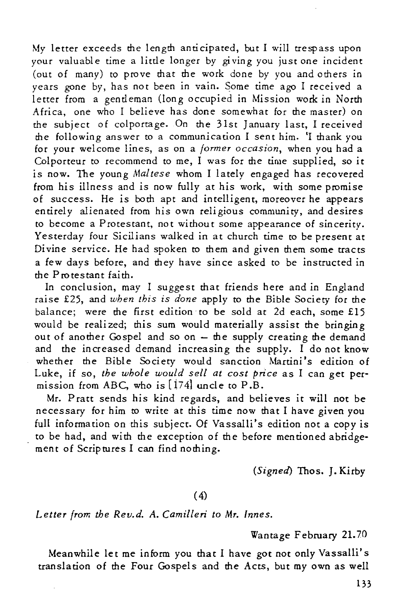My letter exceeds the length anticipated, but I will trespass upon your valuable time a little longer by giving you just one incident (out of many) to prove that the work done by you and others in years gone by, has not been in vain. Some time ago I received a letter from a gentleman (long occupied in Mission work in North Africa, one who I believe has done somewhat for the master) on the subject of colportage. On the 31st January last, I received the following answer to a communication I sent him. I thank you for your welcome lines, as on a *former occasion,* when you had a Colporteur to recommend to me, I was for the time supplied, so it is now. The young *Maltese* whom I lately engaged has recovered from his illness and is now fully at his work, with some promise of success. He is both apt and intelligent, moreover he appears entirely alienated from his own religious community, and desires to become a Protestant, not without some appearance of sincerity. Yesterday four Sicilians walked in at church time to be present at Divine service. He had spoken to them and given them some tracts a few days before, and they have since asked to be instructed in the Pm testant faith.

In conclusion, may I suggest that friends here and in England raise £25, and *when this is done* apply to the Bible Society for the balance; were the first edition to be sold at 2d each, some £15 would be realized; this sum would materially assist the bringing out of another Gospel and so on  $-$  the supply creating the demand and the increased demand increasing the supply. I do not know whether the Bible Society would sanction Martini's edition of Luke, if so, *the whole would sell at cost price* as I can get permission from ABC, who is [174] uncle to P.B.

Mr. Pratt sends his kind regards, and believes it will not be necessary for him to write at this time now that I have given you full information on this subject. Of Vassalli's edition not a copy is to be had, and with the exception of the before mentioned abridgement of Scriptures I can find nothing.

*(Signed)* Thos. J. Kirby

*Letter from the Rev.d. A. Camilleri to Mr. Innes.* 

Wantage February 21.70

Meanwhile let me inform you that I have got not only Vassalli's translation of the Four Gospels and the Acts, but my own as well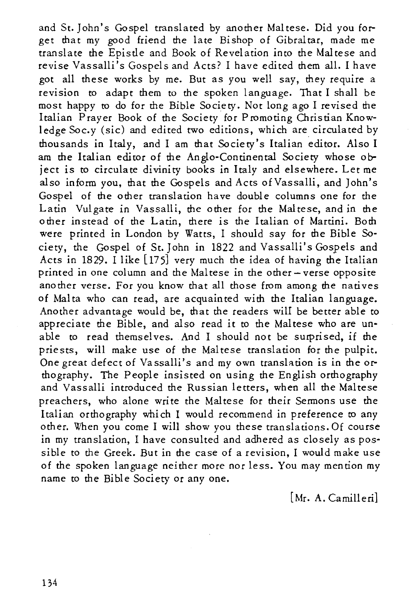and St. John's Gospel translated by another Maltese. Did you forget that my good friend the late Bishop of Gibraltar, made me translate the Epistle and Book of Revelation into the Maltese and revise Vassalli's Gospels and Acts? I have edited them all. I have got all these works by me. But as you well say, they require a revision to adapt them to the spoken language. That I shall be most happy to do for the Bible Society. Not long ago I revised the Italian Prayer Book of the Society for Promoting Christian Knowledge Soc.y (sic) and edited two editions, which are circulated by thousands in Italy, and I am that Society's Italian editor. Also I am the Italian editor of the Anglo-Continental Society whose object is to circulate divinity books in Italy and elsewhere. Let me also inform you, that the Gospels and Acts ofVassalli, and John's Gospel of the other translation have double columns one for the Latin Vulgate in Vassalli, the other for the Maltese, and in the other instead of the Latin, there is the Italian of Martini. Both were printed in London by Watts, I should say for the Bible Society, the Gospel of St. John in 1822 and Vassalli's Gospels and Acts in 1829. I like [175] very much the idea of having the Italian printed in one column and the Maltese in the other - verse opposite another verse. For you know that all those from among the natives of Malta who can read, are acquainted with the Italian language. Another advantage would be, that the readers wilI be better able to appreciate the Bible, and also read it to the Maltese who are unable to read themselves. And I should not be surprised, if the priests, will make use of the Maltese translation for the pulpit. One great defect of Vassalli's and my own translation is in the orthography. The People insisted on using the English orthography and Vassalli introduced the Russian letters, when all the Maltese preachers, who alone write the Maltese for their Sermons use the Italian orthography which I would recommend in preference to any other. When you come I will show you these translations. Of course in my translation, I have consulted and adhered as closely as possible to the Greek. But in the case of a revision, I would make use of the spoken language neither more nor less. You may mention my name to the Bible Society or anyone.

[Mr. A. Camilleri]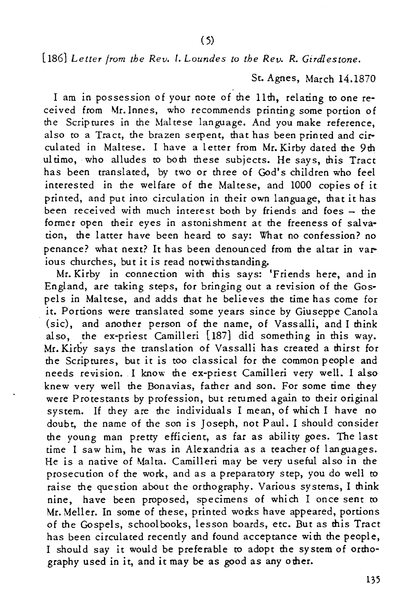[186] Letter from the Rev. *I*. Loundes to the Rev. *R. Girdlestone*.

St. Agnes, March 14.1870

I am in possession of your note of the 11th, relating to one received from Mr.lnnes, who recommends printing some portion of the Scriptures in the Maltese language. And you make reference, also to a Tract, the brazen serpent, that has been printed and circulated in Maltese. I have a letter from Mr. Kirby dated the 9th ultimo, who alludes to both these subjects. He says, this Tract has been translated, by two or three of God's children who feel interested in the welfare of the Maltese, and 1000 copies of it printed, and put into circulation in their own language, that it has been received with much interest both by friends and foes - the former open their *eyes* in astonishment at the freeness of salvation, the latter have been heard to say: What no confession? no penance? what next? It has been denounced from the altar in var-.<br>ious churches, but it is read notwithstanding.

Mr. Kirby in connection with this says: 'Friends here, and in England, are taking steps, for bringing out a revision of the Gospels in Maltese, and adds that he believes the time has come for it. Portions were translated some years since by Giuseppe Canola (sic), and another person of the name, of Vassalli, and I think also, the ex-priest Camilleri (187] did something in this way. Mr. Kirby says the translation of Vassalli has created a thirst for the Scriptures, but it is too classical for the common people and needs revision. I know the ex-priest Camilleri very well. I also knew very well the Bonavias, father and son. For some time they were Protestants by profession, but returned again to their original system. If they are the individuals I mean, of which I have no doubt, the name of the son *is* Joseph, not Paul. I should consider the young man pretty efficient, as far as ability goes. The last time I saw him, he was in Alexandria as a teacher of languages. He is a native of Malta. Camilleri may be very useful also in the prosecution of the work, and as a preparatory step, *you* do well to raise the question about the orthography. Various systems, I think nine, have been proposed, specimens of which I once sent to Mr. Meller. In some of these, printed works have appeared, portions of the Gospels, schoolbooks, lesson boards, etc. But as this Tract has been circulated recently and found acceptance with the people, I should say it would be preferable to adopt the system of orthography used in it, and it may be as good as any other.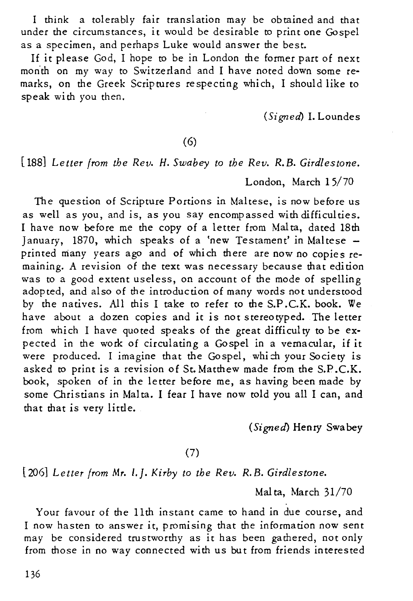I think a tolerably fair translation may be obtained and that under the circumstances, it would be desirable to print one Gospel as a specimen, and perhaps Luke would answer the best.

If it please God, I hope to be in London the former part of next month on my way to Switzerland and I have noted down some remarks, on the Greek Scriptures respecting which, I should like to speak with you then.

*(Signed>* I. Loundes

# (6)

*(188) Letter from the Rev. H. Swabey to the Rev. R.B. Girdlestone.* 

London, March 15/70

The question of Scripture Portions in Maltese, is now before us as well as you, and is, as you say encompassed with difficulties. I have now before me the copy of a letter from Malta, dated 18th January, 1870, which speaks of a 'new Testament' in Maltese printed many years ago and of which there are now no copies remaining. A revision of the text was necessary because that edition was to a good extent useless, on account of the mode of spelling adopted, and also of the introduction of many words not understood by the natives. All this I take to refer to the S.P .C.K. book. We have about a dozen copies and it is not stereotyped. The letter from which I have quoted speaks of the great difficulty to be expected in the work of circulating a Gospel in a vemacular, if it were produced. I imagine that the Gospel, which your Society is asked to print is a revision of St. Matthew made from the S.P.C.K. book, spoken of in the letter before me, as having been made by some Christians in Malta. I fear I have now told you all I can, and that that is very little.

*(Signed)* Henry Swabey

(7)

*[2(6) Letter from Mr. I.J. Kirby to the Rev. R.B. Girdlestone.* 

Mal ta, March 31/70

Your favour of the 11th instant came to hand in due course, and I now hasten to answer it, promising that the information now sent may be considered trustworthy as it has been gathered, not only from those in no way connected with us but from friends interested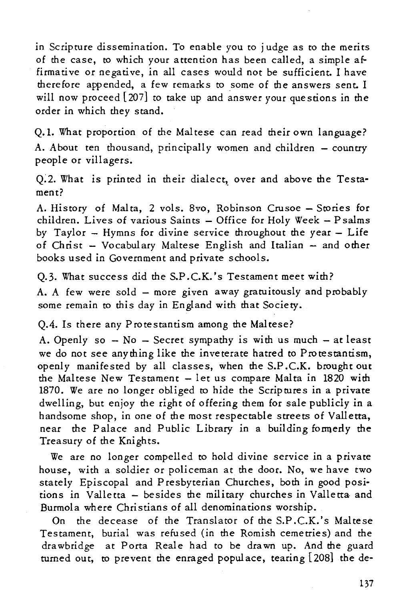in Scripture dissemination. To enable you to judge as to the merits of the case, to which your attention has been called, a simple affirmative or negative, in all cases would not be sufficient. I have therefore appended, a few remarks to some of the answers sent. I will now proceed  $[207]$  to take up and answer your questions in the order in which they stand.

Q.l. What proportion of the Maltese can read their own language? A. About ten thousand, principally women and children - country people or villagers.

Q.2. What is printed in their dialect, over and above the Testament?

A. History of Malta, 2 vols. 8vo, Robinson Crusoe - Stories for children. Lives of various Saints - Office for Holy Week - Psalms by Taylor  $-$  Hymns for divine service throughout the year  $-$  Life of Christ - Vocabulary Maltese English and Italian - and other books used in Government and private schools.

Q.3. What success did the S.P .C.K. 's Testament meet with?

A. A few were sold  $-$  more given away gratuitously and probably some remain to this day in England with that Society.

Q.4. Is there any Protestantism among the Maltese?

A. Openly so  $-$  No  $-$  Secret sympathy is with us much  $-$  at least we do not see anything like the inveterate hatred to Protestantism, openly manifested by all classes, when the S.P .C.K. brought out the Maltese New Testament - let us compare Malta in 1820 with 1870. We are no longer obliged to hide the Scriptures in a private dwelling, but enjoy the right of offering them for sale publicly in a handsome shop, in one of the most respectable streets of Valletta, near the Palace and Public Library in a building formerly the Treasury of the Knights.

We are no longer compelled to hold divine service in a private house, with a soldier or policeman at the door. No, we have two stately Episcopal and Presbyterian Churches, both in good positions in Valletta - besides the military churches in Valletta and Burmola where Christians of all denominations worship.

On the decease of the Translator of the S.P .C.K.'s Maltese Testament, burial was refused (in the Romish cemetries) and the drawbridge at Porta Reale had to be drawn up. And the guard turned out, to prevent the enraged populace, tearing [208] the de-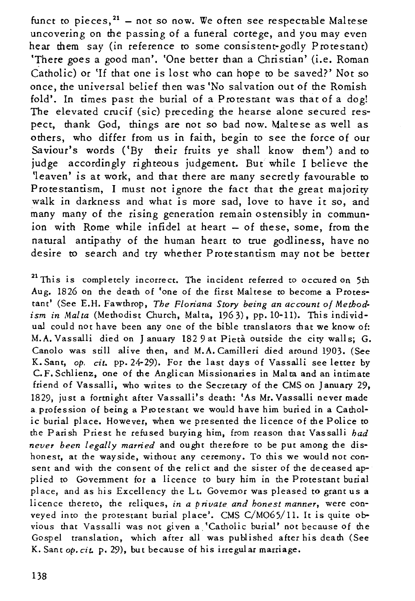funct to pieces, $^{21}$  – not so now. We often see respectable Maltese uncovering on the passing of a funeral cortege, and you may even hear them say (in reference to some consistent-godly Protestant) 'There goes a good man'. 'One better than a Christian' (i.e. Roman Catholic) or 'If that one is lost who can hope to be saved?' Not so once, the universal belief then was 'No salvation out of the Romish fold'. In times past the burial of a Protestant was that of a dog! The elevated crucif (sic) preceding the hearse alone secured respect, thank God, things are not so bad now. Maltese as well as others, who differ from us in faith, begin to see the force of our Saviour's words ('By their fruits ye shall know them') and to judge accordingly righteous judgement. But while I believe the 'leaven' is at work, and that there are many secredy favourable to Protestantism, I must not ignore the fact that the great majority walk in darkness and what is more sad, love to have it so, and many many of the rising generation remain ostensibly in communion with Rome while infidel at heart - of these, some, from the natural antipathy of the human heart to true godliness, have no desire to search and try whether Protestantism may not be better

<sup>21</sup> This is completely incorrect. The incident referred to occured on 5th Aug. 1826 on the death of 'one of the first Maltese to become a Protestant' (See E.H. Fawthrop, *The Floriana Story being an account of Method*ism in Malta (Methodist Church, Malta, 1963), pp. 10-11). This individual could not have been any one of the bible translators that we know of: M.A. Vassalli died on January 1829 at Pietà outside the city walls: G. Canolo was still alive then, and M.A. Camilleri died around 1903. (See K. Sant, *op, cit.* pp. 24-29). For the last days of Vassalli see letter by C.F.Schlienz, one of the Anglican Missionaries in Malta and an intimate friend of Vassalli, who writes to the Secretary of the CMS on January 29, 1829, just a formight after Vassalli's death: 'As Mr. Vassalli never made a. profession of being a Protestant we would have him buried in a Catholic burial place. However, when we presented the licence of the Police to the Parish Priest he refused burying him, from reason that Vassalli *had never been legally married* and ought therefore to be put among the dishonest, at the wayside, without any ceremony. To this we would not consent and with the consent of the relict and the sister of the deceased applied to Government for a licence to bury him in the Protestant burial place, and as his Excellency the Lt. Governor was pleased to grant us a licence thereto, the reliques, *in a private and honest manner,* were conveyed into the protestant burial place'. CMS C/M065/11. It is quite obvious that Vassalli was not given a. 'Catholic burial' not because of the Gospel translation, which after all was published after his death (See K. Sant *op. cit.* p. 29), but because of his irregular marriage.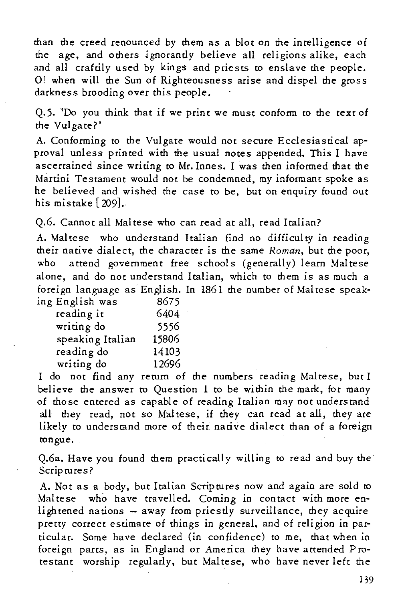than the creed renounced by them as a blot on the intelligence of the age, and others ignorantly believe all religions alike, each and all craftily used by kings and priests to enslave the people. O! when will the Sun of Righteousness arise and dispel the gross darkness brooding over this people.

Q.5. 'Do you think that if we print we must conform to the text of the Vulgate?'

A. Conforming to the Vulgate would not secure Ecclesiastical approval unless printed with the usual notes appended. This I have ascertained since writing to Mr. Innes. I was then informed that the Martini Testament would not be condemned, my informant spoke as he believed and wished the case to be, but on enquiry found out his mistake [209].

Q.6. Cannot all Maltese who can read at all, read Italian?

A. Maltese who understand Italian find no difficulty in reading their native dialect, the character *is* the same *Roman,* but the poor, who attend government free schools (generally) learn Maltese alone, and do not understand Italian, which to them is as much a foreign language as' English. In 1861 the number of Mal tese speak-

| ing English was  | 8675  |
|------------------|-------|
| reading it       | 6404  |
| writing do       | 5556  |
| speaking Italian | 15806 |
| reading do       | 14103 |
| writing do       | 12696 |

I do not find any return of the numbers reading Maltese, but I believe the answer to Question 1 to be within the mark, for many of those entered as capable of reading Italian may not understand all they read, not so Maltese, if they can read at all, they are likely to understand more of their native dialect than of a foreign tongue.

Q.6a. Have you found them practically willing to read and buy the Scriptures?

A. Not as a body, but Italian Scriptures now and again are sold to Maltese who have travelled. Coming in contact with more enlightened nations - away from priestly surveillance, they acquire pretty correct estimate of things in general, and of religion in particular. Some have declared (in confidence) to me, that when in foreign parts, as in England or America they have attended Protestant worship regularly, but Maltese, who have never left the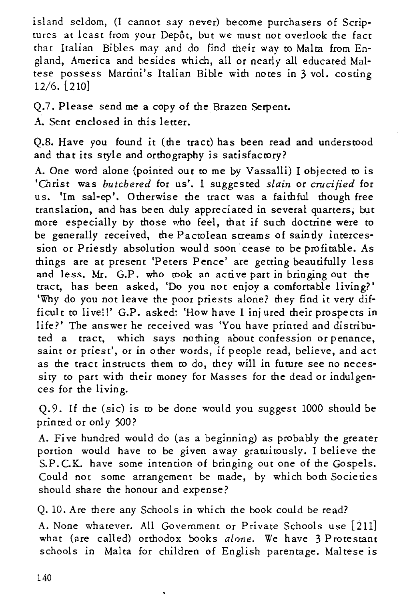island seldom, (I cannot say never) become purchasers of Scriptures at least from your Depôt, but we must not overlook the fact that Italian Bibles may and do find their way to Malta from England, America and besides which, all or nearly all educated Maltese possess Martini's Italian Bible with notes in 3 vol. costing 12/6. [210]

Q.7. Please send me a copy of the Brazen Serpent.

A. Sent enclosed in this letter.

Q.8. Have you found it (the tract) has been read and understood and that its style and orthography is satisfactory?

A. One word alone (pointed out to me by Vassalli) I objected to is 'Christ was *butchered* for us'. I suggested *slain* or *crucified* for us. 'Im sal-ep'. Otherwise the tract was a faithful though free translation, and has been duly appreciated in several quarters, but more especially by those who feel, that if such doctrine were to be generally received, the Pactolean streams of saintly intercession or Priestly absolution would soon· cease to be profitable. As things are at present 'Peters Pence' are getting beautifully less and less. Mr. G.P. who took an active part in bringing out the tract, has been asked, 'Do you not enjoy a comfortable living?' 'Why do you not leave the poor priests alone? they find it very difficult to live!!' G.P. asked: 'How have I inj ured their prospects in life?' The answer he received was 'You have printed and distributed a tract, which says nothing about confession or penance, saint or priest', or in other words, if people read, believe, and act as the tract instructs them to do, they will in future see no necessity to part with their money for Masses for the dead or indulgences for the living.

Q.9. If the (sic) is to be done would you suggest 1000 should be printed or only 500?

A. Five hundred would do (as a beginning) as probably the greater portion would have to be given away gratuitously. I believe the S.P. C.K. have some intention of bringing out one of the Gospels. Could not some arrangement be made, by which both Societies should share the honour and expense?

Q. 10. Are there any Schools in which the book could be read?

A. None whatever. All Government or Private Schools use [211] what (are called) orthodox books *alone.* We have 3 Protestant schools in Malta for children of English parentage. Maltese is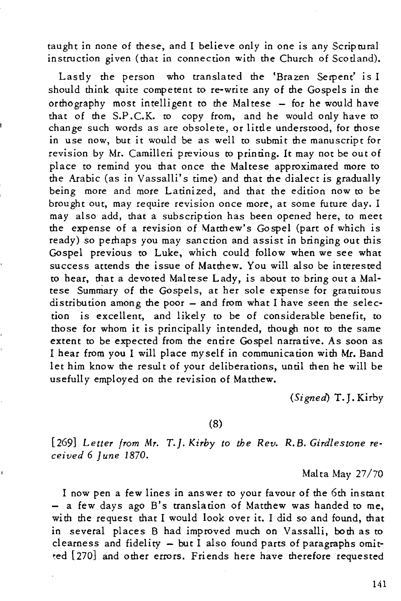taught in none of these, and I believe only in one is any Scriptural instruction given (that in connection with the Church of Scotland).

Lastly the person who translated the 'Brazen Serpent' is I should think quite competent to re-write any of the Gospels in the orthography most intelligent to the Maltese  $-$  for he would have that of the S.P .C.K. to copy from, and he would only have to change such words as are obsolete, or little understood, for those in use now, but it would be as well to submit the manuscript for revision by Mr. Camilleri previous to printing. It may not be out of place to remind you that once the Maltese approximated more to the Arabic (as in Vassalli's time) and that the dialect is gradually being more and more Latinized, and that the edition now to be brought out, may require revision once more, at some future day. I may also add, that a subscription has been opened here, to meet the expense of a revision of Matthew's Gospel (part of which is ready) so perhaps you may sanction and assist in bringing out this Gospel previous to Luke, which could follow when we see what success attends the issue of Matthew. You will also be interested to hear, that a devoted Maltese Lady, is about to bring out a Maltese Summary of the Gospels, at her sole expense for gratuitous distribution among the poor  $-$  and from what I have seen the selection is excellent, and likely to be of considerable benefit, to those for whom it is principally intended, though not to the same extent to be expected from the entire Gospel narrative. As soon as I hear from you I will place myself in communication with Mr. Band let him know the result of your deliberations, until then he will be usefully employed on the revision of Matthew.

*(Signed)* T.}. Kirby

(8)

*[269] Letter from Mr.* T.]. *Kirby to the Rev. R.B. Girdlestone received* 6 *June 1870.* 

Malta May 27/70

I now pen a few lines in answer to your favour of the 6th instant - a few days ago B's translation of Matthew was handed to me, with the request that I would look over it. I did so and found, that in several places B had improved much on Vassalli, both as to clearness and fidelity  $-$  but I also found parts of paragraphs omitted [270] and other errors. Friends here have therefore requested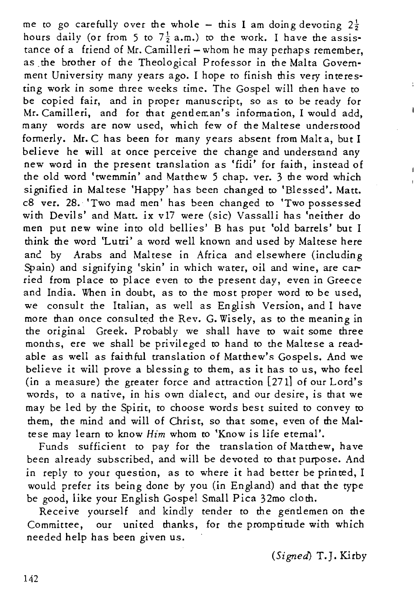me to go carefully over the whole  $-$  this I am doing devoting  $2\frac{1}{2}$ hours daily (or from 5 to  $7\frac{1}{2}$  a.m.) to the work. I have the assistance of a friend of Mr. Camilleri - whom he may perhaps remember, as the brother of the Theological Professor in the Malta Government University many years ago. I hope to finish this very interesting work in some three weeks time. The Gospel will then have to be copied fair, and in proper manuscript, so as to be ready for Mr. Camilleri, and for that gentleman's information, I would add, many words are now used, which few of the Maltese understood formerly. Mr. C has been for many years absent from Malta, but I believe he will at once perceive the change and understand any new word in the present translation as 'fidi' for faith, instead of the old word 'twemmin' and Matthew 5 chap. ver. 3 the word which signified in Maltese 'Happy' has been changed to 'Blessed'. Matt. c8 ver. 28. 'Two mad men' has been changed to 'Two possessed with Devils' and Matt. *ix* v17 were (sic) Vassalli has 'neither do men put new wine into old bellies' B has put 'old barrels' but I think the word 'Lutri' a word well known and used by Maltese here anc by Arabs and Maltese in Africa and elsewhere (including Spain) and signifying 'skin' in which water, oil and wine, are carried from place to place even to the present day, even in Greece and India. When in doubt, as to the most proper word to be used, we consult the Italian, as well as English Version, and I have more than once consulted the Rev. G. Wisely, as to the meaning in the original Greek. Probably we shall have to wait some three months, ere we shall be privileged to hand to the Maltese a readable as well as faithful translation of Matthew's Gospels. And we believe it will prove a blessing to them, as it has to us, who feel (in a measure) the greater force and attraction (271] of our Lord's words, to a native, in his own dialect, and our desire, *is* that we may be led by the Spirit, to choose words best suited to convey to them, the mind and will of Christ, so that some, even of the Maltese may learn to know *Him* whom to 'Know *is* life eternal'.

Funds sufficient to pay for the translation of Matthew, have been already subscribed, and will be devoted to that purpose. And in reply to your question, as to where it had better be printed, I would prefer its being done by you (in England) and that the type be good, like your English Gospel Small Pica 32mo cloth.

Receive yourself and kindly tender to the gendemen on the Committee, our united thanks, for the promptitude with which needed help has been given us.

(Signed) T.]. Kirby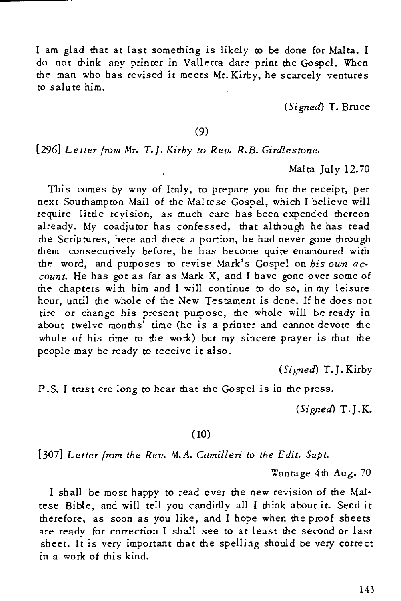I am glad that at last something is likely to be done for Malta. I do not think any printer in Valletta dare print me Gospel. When the man who has revised *it* meets Mr. Kirby, he scarcely ventures to salute him.

*(Signed)* T. Bruce

#### (9)

*[296] Letter from Mr.* T.]. *Kirby to Rev. R.B. Girdlestone.* 

Malta July 12.70

This comes by way of Italy, to prepare you for the receipt, pernext Southampton Mail of the Maltese Gospel, which I believe will require little revision, as much care has been expended thereon already. My coadjutor has confessed, that although he has read the Scriptures, here and there a portion, he had never gone through them consecutively before, he has become quite enamoured with the word, and purposes to revise Mark's Gospel on *his own account.* He has got as far as Mark X, and I have gone over some of the chapters with him and I will continue to do so, in my leisure hour, until the whole of the New Testament is done. If he does not tire or change his present purpose, the whole will be ready in about twelve months' time (he is a printer and cannot devote the whole of his time to the work) but my sincere prayer is that the people may be ready to receive it also.

*(Signed)* T.]. Kirby

P .S. I trust ere long to hear that the Gospel *is* in the press.

*(Signed)* T.] .K.

#### (IO)

*[307] Letter from the Rev. M.A. Camilleri to the Edit. Supt.* 

Wantage 4th Aug. 70

I shall be most happy to read over the new revision of the Maltese Bible, and will tell you candidly all I think about it. Send it therefore, as soon as you like, and I hope when the proof sheets are ready for correction I shall see to at least the second or last sheet. It is very important that the spelling should be very correct in a work of this kind.